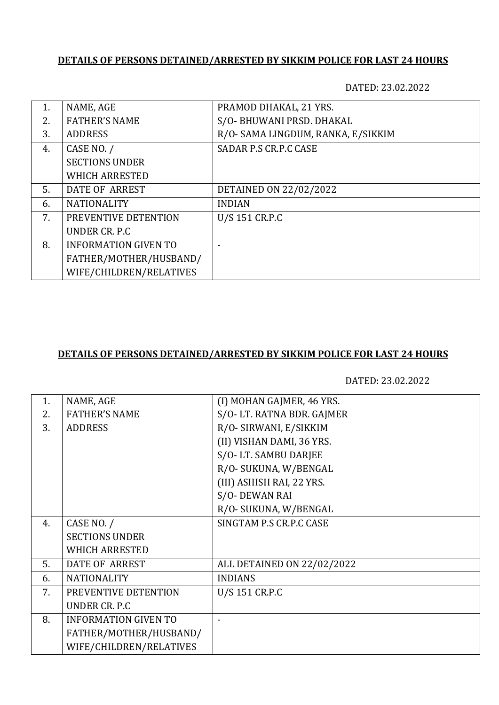## **DETAILS OF PERSONS DETAINED/ARRESTED BY SIKKIM POLICE FOR LAST 24 HOURS**

DATED: 23.02.2022

| 1. | NAME, AGE                   | PRAMOD DHAKAL, 21 YRS.             |
|----|-----------------------------|------------------------------------|
| 2. | <b>FATHER'S NAME</b>        | S/O- BHUWANI PRSD. DHAKAL          |
| 3. | <b>ADDRESS</b>              | R/O- SAMA LINGDUM, RANKA, E/SIKKIM |
| 4. | CASE NO. /                  | SADAR P.S CR.P.C CASE              |
|    | <b>SECTIONS UNDER</b>       |                                    |
|    | <b>WHICH ARRESTED</b>       |                                    |
| 5. | DATE OF ARREST              | DETAINED ON 22/02/2022             |
| 6. | <b>NATIONALITY</b>          | <b>INDIAN</b>                      |
| 7. | PREVENTIVE DETENTION        | U/S 151 CR.P.C                     |
|    | UNDER CR. P.C.              |                                    |
| 8. | <b>INFORMATION GIVEN TO</b> |                                    |
|    | FATHER/MOTHER/HUSBAND/      |                                    |
|    | WIFE/CHILDREN/RELATIVES     |                                    |

## **DETAILS OF PERSONS DETAINED/ARRESTED BY SIKKIM POLICE FOR LAST 24 HOURS**

DATED: 23.02.2022

| 1. | NAME, AGE                   | (I) MOHAN GAJMER, 46 YRS.  |
|----|-----------------------------|----------------------------|
| 2. | <b>FATHER'S NAME</b>        | S/O-LT. RATNA BDR. GAJMER  |
| 3. | <b>ADDRESS</b>              | R/O- SIRWANI, E/SIKKIM     |
|    |                             | (II) VISHAN DAMI, 36 YRS.  |
|    |                             | S/O-LT. SAMBU DARJEE       |
|    |                             | R/O- SUKUNA, W/BENGAL      |
|    |                             | (III) ASHISH RAI, 22 YRS.  |
|    |                             | S/O-DEWAN RAI              |
|    |                             | R/O- SUKUNA, W/BENGAL      |
| 4. | CASE NO. /                  | SINGTAM P.S CR.P.C CASE    |
|    | <b>SECTIONS UNDER</b>       |                            |
|    | <b>WHICH ARRESTED</b>       |                            |
| 5. | DATE OF ARREST              | ALL DETAINED ON 22/02/2022 |
| 6. | <b>NATIONALITY</b>          | <b>INDIANS</b>             |
| 7. | PREVENTIVE DETENTION        | U/S 151 CR.P.C             |
|    | UNDER CR. P.C               |                            |
| 8. | <b>INFORMATION GIVEN TO</b> |                            |
|    | FATHER/MOTHER/HUSBAND/      |                            |
|    | WIFE/CHILDREN/RELATIVES     |                            |